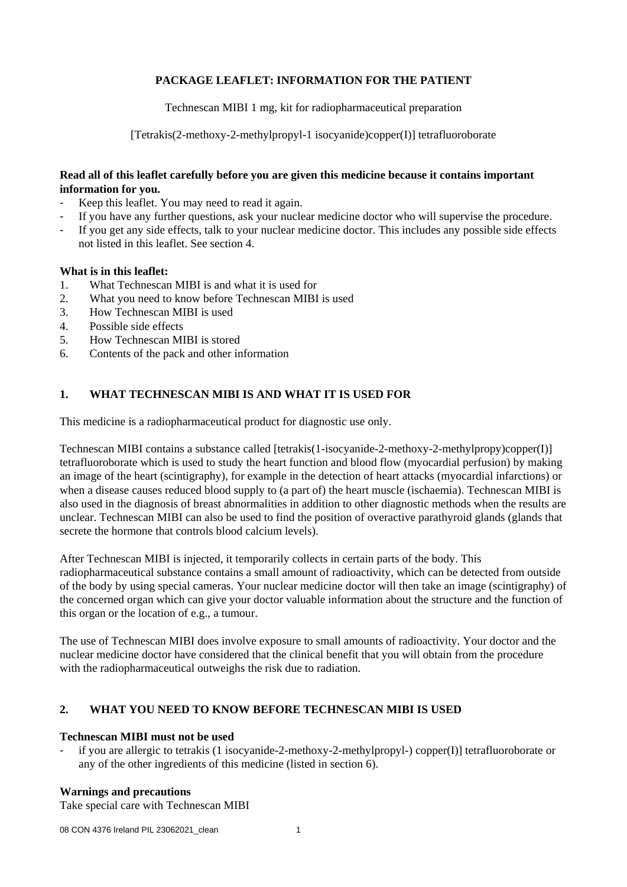# **PACKAGE LEAFLET: INFORMATION FOR THE PATIENT**

Technescan MIBI 1 mg, kit for radiopharmaceutical preparation

[Tetrakis(2-methoxy-2-methylpropyl-1 isocyanide)copper(I)] tetrafluoroborate

## **Read all of this leaflet carefully before you are given this medicine because it contains important information for you.**

- Keep this leaflet. You may need to read it again.
- If you have any further questions, ask your nuclear medicine doctor who will supervise the procedure.
- If you get any side effects, talk to your nuclear medicine doctor. This includes any possible side effects not listed in this leaflet. See section 4.

## **What is in this leaflet:**

- 1. What Technescan MIBI is and what it is used for
- 2. What you need to know before Technescan MIBI is used
- 3. How Technescan MIBI is used
- 4. Possible side effects
- 5. How Technescan MIBI is stored
- 6. Contents of the pack and other information

# **1. WHAT TECHNESCAN MIBI IS AND WHAT IT IS USED FOR**

This medicine is a radiopharmaceutical product for diagnostic use only.

Technescan MIBI contains a substance called [tetrakis(1-isocyanide-2-methoxy-2-methylpropy)copper(I)] tetrafluoroborate which is used to study the heart function and blood flow (myocardial perfusion) by making an image of the heart (scintigraphy), for example in the detection of heart attacks (myocardial infarctions) or when a disease causes reduced blood supply to (a part of) the heart muscle (ischaemia). Technescan MIBI is also used in the diagnosis of breast abnormalities in addition to other diagnostic methods when the results are unclear. Technescan MIBI can also be used to find the position of overactive parathyroid glands (glands that secrete the hormone that controls blood calcium levels).

After Technescan MIBI is injected, it temporarily collects in certain parts of the body. This radiopharmaceutical substance contains a small amount of radioactivity, which can be detected from outside of the body by using special cameras. Your nuclear medicine doctor will then take an image (scintigraphy) of the concerned organ which can give your doctor valuable information about the structure and the function of this organ or the location of e.g., a tumour.

The use of Technescan MIBI does involve exposure to small amounts of radioactivity. Your doctor and the nuclear medicine doctor have considered that the clinical benefit that you will obtain from the procedure with the radiopharmaceutical outweighs the risk due to radiation.

# **2. WHAT YOU NEED TO KNOW BEFORE TECHNESCAN MIBI IS USED**

## **Technescan MIBI must not be used**

if you are allergic to tetrakis (1 isocyanide-2-methoxy-2-methylpropyl-) copper(I)] tetrafluoroborate or any of the other ingredients of this medicine (listed in section 6).

## **Warnings and precautions**

Take special care with Technescan MIBI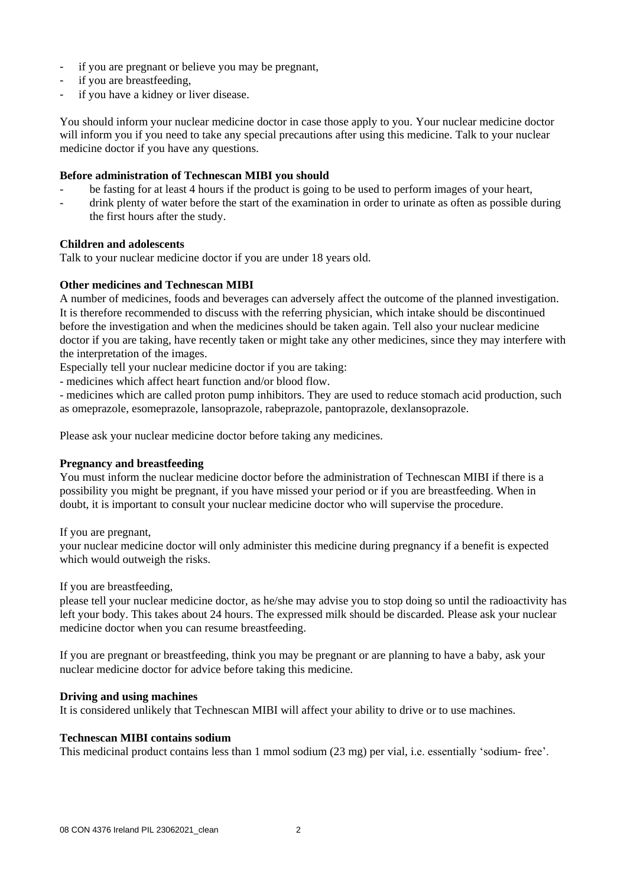- if you are pregnant or believe you may be pregnant,
- if you are breastfeeding,
- if you have a kidney or liver disease.

You should inform your nuclear medicine doctor in case those apply to you. Your nuclear medicine doctor will inform you if you need to take any special precautions after using this medicine. Talk to your nuclear medicine doctor if you have any questions.

## **Before administration of Technescan MIBI you should**

- be fasting for at least 4 hours if the product is going to be used to perform images of your heart,
- drink plenty of water before the start of the examination in order to urinate as often as possible during the first hours after the study.

## **Children and adolescents**

Talk to your nuclear medicine doctor if you are under 18 years old.

## **Other medicines and Technescan MIBI**

A number of medicines, foods and beverages can adversely affect the outcome of the planned investigation. It is therefore recommended to discuss with the referring physician, which intake should be discontinued before the investigation and when the medicines should be taken again. Tell also your nuclear medicine doctor if you are taking, have recently taken or might take any other medicines, since they may interfere with the interpretation of the images.

Especially tell your nuclear medicine doctor if you are taking:

- medicines which affect heart function and/or blood flow.

- medicines which are called proton pump inhibitors. They are used to reduce stomach acid production, such as omeprazole, esomeprazole, lansoprazole, rabeprazole, pantoprazole, dexlansoprazole.

Please ask your nuclear medicine doctor before taking any medicines.

## **Pregnancy and breastfeeding**

You must inform the nuclear medicine doctor before the administration of Technescan MIBI if there is a possibility you might be pregnant, if you have missed your period or if you are breastfeeding. When in doubt, it is important to consult your nuclear medicine doctor who will supervise the procedure.

If you are pregnant,

your nuclear medicine doctor will only administer this medicine during pregnancy if a benefit is expected which would outweigh the risks.

If you are breastfeeding,

please tell your nuclear medicine doctor, as he/she may advise you to stop doing so until the radioactivity has left your body. This takes about 24 hours. The expressed milk should be discarded. Please ask your nuclear medicine doctor when you can resume breastfeeding.

If you are pregnant or breastfeeding, think you may be pregnant or are planning to have a baby, ask your nuclear medicine doctor for advice before taking this medicine.

## **Driving and using machines**

It is considered unlikely that Technescan MIBI will affect your ability to drive or to use machines.

## **Technescan MIBI contains sodium**

This medicinal product contains less than 1 mmol sodium (23 mg) per vial, i.e. essentially 'sodium- free'.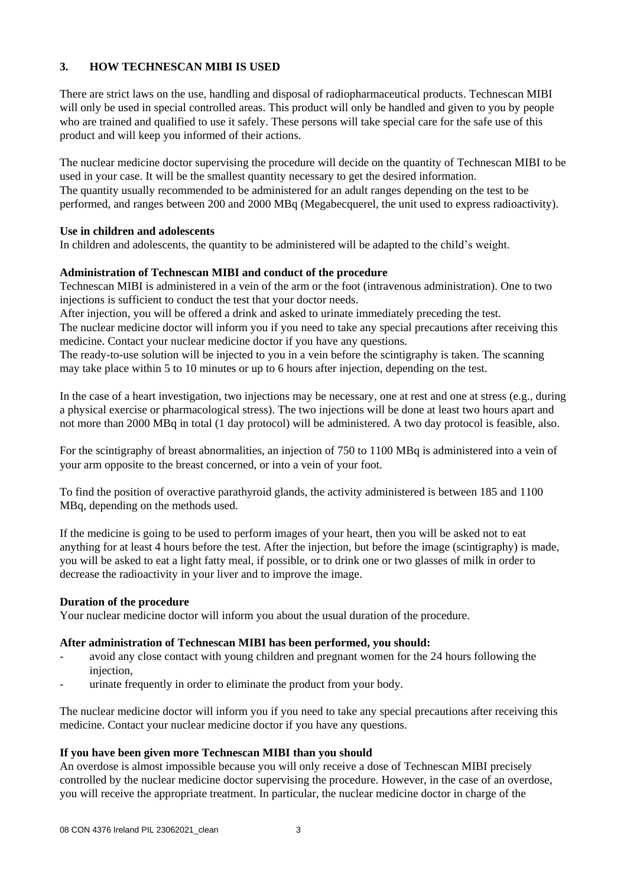# **3. HOW TECHNESCAN MIBI IS USED**

There are strict laws on the use, handling and disposal of radiopharmaceutical products. Technescan MIBI will only be used in special controlled areas. This product will only be handled and given to you by people who are trained and qualified to use it safely. These persons will take special care for the safe use of this product and will keep you informed of their actions.

The nuclear medicine doctor supervising the procedure will decide on the quantity of Technescan MIBI to be used in your case. It will be the smallest quantity necessary to get the desired information. The quantity usually recommended to be administered for an adult ranges depending on the test to be performed, and ranges between 200 and 2000 MBq (Megabecquerel, the unit used to express radioactivity).

## **Use in children and adolescents**

In children and adolescents, the quantity to be administered will be adapted to the child's weight.

## **Administration of Technescan MIBI and conduct of the procedure**

Technescan MIBI is administered in a vein of the arm or the foot (intravenous administration). One to two injections is sufficient to conduct the test that your doctor needs.

After injection, you will be offered a drink and asked to urinate immediately preceding the test. The nuclear medicine doctor will inform you if you need to take any special precautions after receiving this medicine. Contact your nuclear medicine doctor if you have any questions.

The ready-to-use solution will be injected to you in a vein before the scintigraphy is taken. The scanning may take place within 5 to 10 minutes or up to 6 hours after injection, depending on the test.

In the case of a heart investigation, two injections may be necessary, one at rest and one at stress (e.g., during a physical exercise or pharmacological stress). The two injections will be done at least two hours apart and not more than 2000 MBq in total (1 day protocol) will be administered. A two day protocol is feasible, also.

For the scintigraphy of breast abnormalities, an injection of 750 to 1100 MBq is administered into a vein of your arm opposite to the breast concerned, or into a vein of your foot.

To find the position of overactive parathyroid glands, the activity administered is between 185 and 1100 MBq, depending on the methods used.

If the medicine is going to be used to perform images of your heart, then you will be asked not to eat anything for at least 4 hours before the test. After the injection, but before the image (scintigraphy) is made, you will be asked to eat a light fatty meal, if possible, or to drink one or two glasses of milk in order to decrease the radioactivity in your liver and to improve the image.

## **Duration of the procedure**

Your nuclear medicine doctor will inform you about the usual duration of the procedure.

## **After administration of Technescan MIBI has been performed, you should:**

- avoid any close contact with young children and pregnant women for the 24 hours following the injection,
- urinate frequently in order to eliminate the product from your body.

The nuclear medicine doctor will inform you if you need to take any special precautions after receiving this medicine. Contact your nuclear medicine doctor if you have any questions.

## **If you have been given more Technescan MIBI than you should**

An overdose is almost impossible because you will only receive a dose of Technescan MIBI precisely controlled by the nuclear medicine doctor supervising the procedure. However, in the case of an overdose, you will receive the appropriate treatment. In particular, the nuclear medicine doctor in charge of the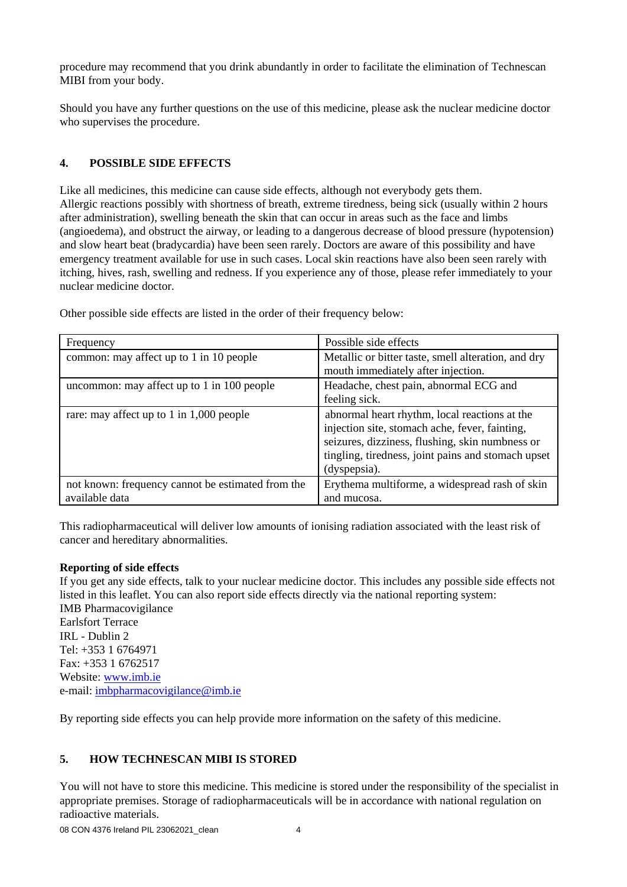procedure may recommend that you drink abundantly in order to facilitate the elimination of Technescan MIBI from your body.

Should you have any further questions on the use of this medicine, please ask the nuclear medicine doctor who supervises the procedure.

# **4. POSSIBLE SIDE EFFECTS**

Like all medicines, this medicine can cause side effects, although not everybody gets them. Allergic reactions possibly with shortness of breath, extreme tiredness, being sick (usually within 2 hours after administration), swelling beneath the skin that can occur in areas such as the face and limbs (angioedema), and obstruct the airway, or leading to a dangerous decrease of blood pressure (hypotension) and slow heart beat (bradycardia) have been seen rarely. Doctors are aware of this possibility and have emergency treatment available for use in such cases. Local skin reactions have also been seen rarely with itching, hives, rash, swelling and redness. If you experience any of those, please refer immediately to your nuclear medicine doctor.

| Frequency                                         | Possible side effects                               |
|---------------------------------------------------|-----------------------------------------------------|
| common: may affect up to 1 in 10 people           | Metallic or bitter taste, smell alteration, and dry |
|                                                   | mouth immediately after injection.                  |
| uncommon: may affect up to 1 in 100 people        | Headache, chest pain, abnormal ECG and              |
|                                                   | feeling sick.                                       |
| rare: may affect up to 1 in 1,000 people          | abnormal heart rhythm, local reactions at the       |
|                                                   | injection site, stomach ache, fever, fainting,      |
|                                                   | seizures, dizziness, flushing, skin numbness or     |
|                                                   | tingling, tiredness, joint pains and stomach upset  |
|                                                   | (dyspepsia).                                        |
| not known: frequency cannot be estimated from the | Erythema multiforme, a widespread rash of skin      |
| available data                                    | and mucosa.                                         |

Other possible side effects are listed in the order of their frequency below:

This radiopharmaceutical will deliver low amounts of ionising radiation associated with the least risk of cancer and hereditary abnormalities.

## **Reporting of side effects**

If you get any side effects, talk to your nuclear medicine doctor. This includes any possible side effects not listed in this leaflet. You can also report side effects directly via the national reporting system: IMB Pharmacovigilance Earlsfort Terrace IRL - Dublin 2 Tel: +353 1 6764971 Fax: +353 1 6762517 Website: [www.imb.ie](http://www.imb.ie/) e-mail: [imbpharmacovigilance@imb.ie](mailto:imbpharmacovigilance@imb.ie)

By reporting side effects you can help provide more information on the safety of this medicine.

# **5. HOW TECHNESCAN MIBI IS STORED**

You will not have to store this medicine. This medicine is stored under the responsibility of the specialist in appropriate premises. Storage of radiopharmaceuticals will be in accordance with national regulation on radioactive materials.

08 CON 4376 Ireland PIL 23062021 clean 4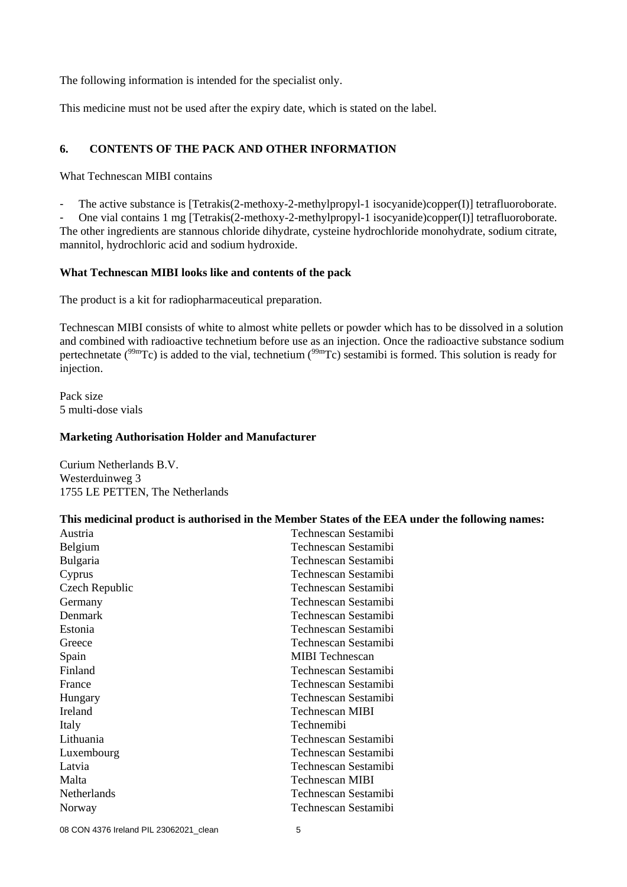The following information is intended for the specialist only.

This medicine must not be used after the expiry date, which is stated on the label.

## **6. CONTENTS OF THE PACK AND OTHER INFORMATION**

What Technescan MIBI contains

- The active substance is [Tetrakis(2-methoxy-2-methylpropyl-1 isocyanide)copper(I)] tetrafluoroborate.

- One vial contains 1 mg [Tetrakis(2-methoxy-2-methylpropyl-1 isocyanide)copper(I)] tetrafluoroborate. The other ingredients are stannous chloride dihydrate, cysteine hydrochloride monohydrate, sodium citrate, mannitol, hydrochloric acid and sodium hydroxide.

## **What Technescan MIBI looks like and contents of the pack**

The product is a kit for radiopharmaceutical preparation.

Technescan MIBI consists of white to almost white pellets or powder which has to be dissolved in a solution and combined with radioactive technetium before use as an injection. Once the radioactive substance sodium pertechnetate ( $99mTc$ ) is added to the vial, technetium ( $99mTc$ ) sestamibi is formed. This solution is ready for injection.

Pack size 5 multi-dose vials

#### **Marketing Authorisation Holder and Manufacturer**

Curium Netherlands B.V. Westerduinweg 3 1755 LE PETTEN, The Netherlands

#### **This medicinal product is authorised in the Member States of the EEA under the following names:**

| Austria         | Technescan Sestamibi   |
|-----------------|------------------------|
| Belgium         | Technescan Sestamibi   |
| <b>Bulgaria</b> | Technescan Sestamibi   |
| Cyprus          | Technescan Sestamibi   |
| Czech Republic  | Technescan Sestamibi   |
| Germany         | Technescan Sestamibi   |
| Denmark         | Technescan Sestamibi   |
| Estonia         | Technescan Sestamibi   |
| Greece          | Technescan Sestamibi   |
| Spain           | <b>MIBI</b> Technescan |
| Finland         | Technescan Sestamibi   |
| France          | Technescan Sestamibi   |
| Hungary         | Technescan Sestamibi   |
| <b>Ireland</b>  | Technescan MIBI        |
| Italy           | Technemibi             |
| Lithuania       | Technescan Sestamibi   |
| Luxembourg      | Technescan Sestamibi   |
| Latvia          | Technescan Sestamibi   |
| Malta           | <b>Technescan MIBI</b> |
| Netherlands     | Technescan Sestamibi   |
| Norway          | Technescan Sestamibi   |
|                 |                        |

08 CON 4376 Ireland PIL 23062021\_clean 5